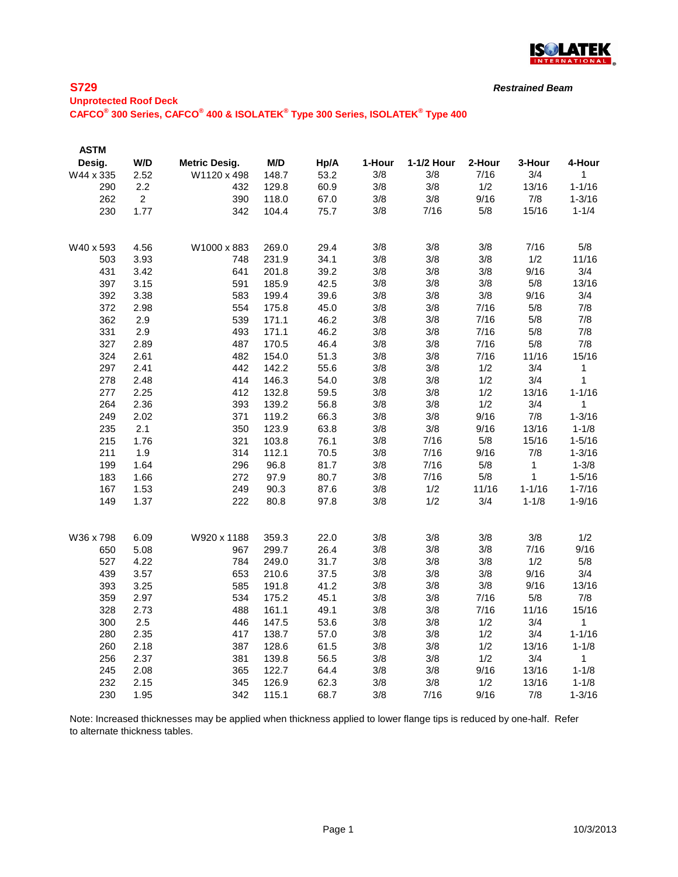

*Restrained Beam*

### **Unprotected Roof Deck CAFCO® 300 Series, CAFCO® 400 & ISOLATEK® Type 300 Series, ISOLATEK® Type 400**

| <b>ASTM</b> |                |                      |       |      |        |            |        |              |              |
|-------------|----------------|----------------------|-------|------|--------|------------|--------|--------------|--------------|
| Desig.      | W/D            | <b>Metric Desig.</b> | M/D   | Hp/A | 1-Hour | 1-1/2 Hour | 2-Hour | 3-Hour       | 4-Hour       |
| W44 x 335   | 2.52           | W1120 x 498          | 148.7 | 53.2 | 3/8    | 3/8        | 7/16   | 3/4          | 1            |
| 290         | 2.2            | 432                  | 129.8 | 60.9 | 3/8    | 3/8        | 1/2    | 13/16        | $1 - 1/16$   |
| 262         | $\overline{2}$ | 390                  | 118.0 | 67.0 | 3/8    | 3/8        | 9/16   | 7/8          | $1 - 3/16$   |
| 230         | 1.77           | 342                  | 104.4 | 75.7 | 3/8    | 7/16       | 5/8    | 15/16        | $1 - 1/4$    |
|             |                |                      |       |      |        |            |        |              |              |
| W40 x 593   | 4.56           | W1000 x 883          | 269.0 | 29.4 | 3/8    | 3/8        | 3/8    | 7/16         | 5/8          |
| 503         | 3.93           | 748                  | 231.9 | 34.1 | 3/8    | 3/8        | 3/8    | 1/2          | 11/16        |
| 431         | 3.42           | 641                  | 201.8 | 39.2 | 3/8    | 3/8        | 3/8    | 9/16         | 3/4          |
| 397         | 3.15           | 591                  | 185.9 | 42.5 | 3/8    | 3/8        | 3/8    | 5/8          | 13/16        |
| 392         | 3.38           | 583                  | 199.4 | 39.6 | 3/8    | 3/8        | 3/8    | 9/16         | 3/4          |
| 372         | 2.98           | 554                  | 175.8 | 45.0 | 3/8    | 3/8        | 7/16   | 5/8          | 7/8          |
| 362         | 2.9            | 539                  | 171.1 | 46.2 | 3/8    | 3/8        | 7/16   | 5/8          | 7/8          |
| 331         | 2.9            | 493                  | 171.1 | 46.2 | 3/8    | 3/8        | 7/16   | 5/8          | 7/8          |
| 327         | 2.89           | 487                  | 170.5 | 46.4 | 3/8    | 3/8        | 7/16   | 5/8          | 7/8          |
| 324         | 2.61           | 482                  | 154.0 | 51.3 | 3/8    | 3/8        | 7/16   | 11/16        | 15/16        |
| 297         | 2.41           | 442                  | 142.2 | 55.6 | 3/8    | 3/8        | 1/2    | 3/4          | 1            |
| 278         | 2.48           | 414                  | 146.3 | 54.0 | 3/8    | 3/8        | 1/2    | 3/4          | 1            |
| 277         | 2.25           | 412                  | 132.8 | 59.5 | 3/8    | 3/8        | 1/2    | 13/16        | $1 - 1/16$   |
| 264         | 2.36           | 393                  | 139.2 | 56.8 | 3/8    | 3/8        | 1/2    | 3/4          | 1            |
| 249         | 2.02           | 371                  | 119.2 | 66.3 | 3/8    | 3/8        | 9/16   | 7/8          | $1 - 3/16$   |
| 235         | 2.1            | 350                  | 123.9 | 63.8 | 3/8    | 3/8        | 9/16   | 13/16        | $1 - 1/8$    |
| 215         | 1.76           | 321                  | 103.8 | 76.1 | 3/8    | 7/16       | 5/8    | 15/16        | $1 - 5/16$   |
| 211         | 1.9            | 314                  | 112.1 | 70.5 | 3/8    | 7/16       | 9/16   | 7/8          | $1 - 3/16$   |
| 199         | 1.64           | 296                  | 96.8  | 81.7 | 3/8    | 7/16       | 5/8    | $\mathbf{1}$ | $1 - 3/8$    |
| 183         | 1.66           | 272                  | 97.9  | 80.7 | 3/8    | 7/16       | 5/8    | 1            | $1 - 5/16$   |
| 167         | 1.53           | 249                  | 90.3  | 87.6 | 3/8    | 1/2        | 11/16  | $1 - 1/16$   | $1 - 7/16$   |
| 149         | 1.37           | 222                  | 80.8  | 97.8 | 3/8    | 1/2        | 3/4    | $1 - 1/8$    | $1 - 9/16$   |
|             |                |                      |       |      |        |            |        |              |              |
| W36 x 798   | 6.09           | W920 x 1188          | 359.3 | 22.0 | 3/8    | 3/8        | 3/8    | 3/8          | 1/2          |
| 650         | 5.08           | 967                  | 299.7 | 26.4 | 3/8    | 3/8        | 3/8    | 7/16         | 9/16         |
| 527         | 4.22           | 784                  | 249.0 | 31.7 | 3/8    | 3/8        | 3/8    | 1/2          | 5/8          |
| 439         | 3.57           | 653                  | 210.6 | 37.5 | 3/8    | 3/8        | 3/8    | 9/16         | 3/4          |
| 393         | 3.25           | 585                  | 191.8 | 41.2 | 3/8    | 3/8        | 3/8    | 9/16         | 13/16        |
| 359         | 2.97           | 534                  | 175.2 | 45.1 | 3/8    | 3/8        | 7/16   | 5/8          | 7/8          |
| 328         | 2.73           | 488                  | 161.1 | 49.1 | 3/8    | 3/8        | 7/16   | 11/16        | 15/16        |
| 300         | 2.5            | 446                  | 147.5 | 53.6 | 3/8    | 3/8        | 1/2    | 3/4          | $\mathbf{1}$ |
| 280         | 2.35           | 417                  | 138.7 | 57.0 | 3/8    | 3/8        | 1/2    | 3/4          | $1 - 1/16$   |
| 260         | 2.18           | 387                  | 128.6 | 61.5 | 3/8    | 3/8        | 1/2    | 13/16        | $1 - 1/8$    |
| 256         | 2.37           | 381                  | 139.8 | 56.5 | 3/8    | 3/8        | 1/2    | 3/4          | $\mathbf{1}$ |
| 245         | 2.08           | 365                  | 122.7 | 64.4 | 3/8    | 3/8        | 9/16   | 13/16        | $1 - 1/8$    |
| 232         | 2.15           | 345                  | 126.9 | 62.3 | 3/8    | 3/8        | 1/2    | 13/16        | $1 - 1/8$    |
| 230         | 1.95           | 342                  | 115.1 | 68.7 | 3/8    | 7/16       | 9/16   | 7/8          | $1 - 3/16$   |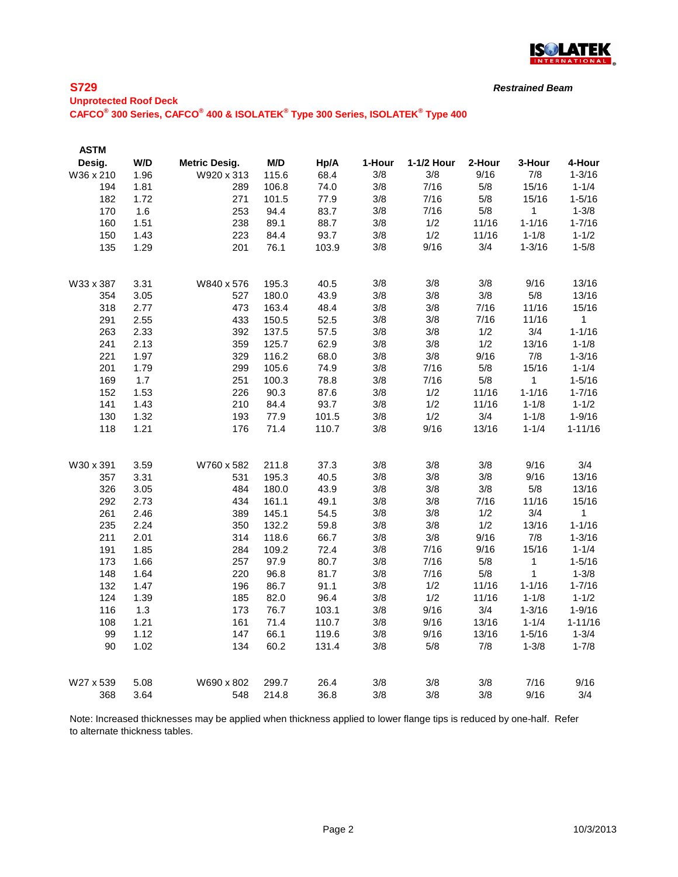

*Restrained Beam*

# **Unprotected Roof Deck**

**CAFCO® 300 Series, CAFCO® 400 & ISOLATEK® Type 300 Series, ISOLATEK® Type 400**

| <b>ASTM</b> |      |                      |       |       |        |            |        |            |             |
|-------------|------|----------------------|-------|-------|--------|------------|--------|------------|-------------|
| Desig.      | W/D  | <b>Metric Desig.</b> | M/D   | Hp/A  | 1-Hour | 1-1/2 Hour | 2-Hour | 3-Hour     | 4-Hour      |
| W36 x 210   | 1.96 | W920 x 313           | 115.6 | 68.4  | 3/8    | 3/8        | 9/16   | 7/8        | $1 - 3/16$  |
| 194         | 1.81 | 289                  | 106.8 | 74.0  | 3/8    | 7/16       | 5/8    | 15/16      | $1 - 1/4$   |
| 182         | 1.72 | 271                  | 101.5 | 77.9  | 3/8    | 7/16       | 5/8    | 15/16      | $1 - 5/16$  |
| 170         | 1.6  | 253                  | 94.4  | 83.7  | 3/8    | 7/16       | 5/8    | 1          | $1 - 3/8$   |
| 160         | 1.51 | 238                  | 89.1  | 88.7  | 3/8    | 1/2        | 11/16  | $1 - 1/16$ | $1 - 7/16$  |
| 150         | 1.43 | 223                  | 84.4  | 93.7  | 3/8    | 1/2        | 11/16  | $1 - 1/8$  | $1 - 1/2$   |
| 135         | 1.29 | 201                  | 76.1  | 103.9 | 3/8    | 9/16       | 3/4    | $1 - 3/16$ | $1 - 5/8$   |
| W33 x 387   | 3.31 | W840 x 576           | 195.3 | 40.5  | 3/8    | 3/8        | 3/8    | 9/16       | 13/16       |
| 354         | 3.05 | 527                  | 180.0 | 43.9  | 3/8    | 3/8        | 3/8    | 5/8        | 13/16       |
| 318         | 2.77 | 473                  | 163.4 | 48.4  | 3/8    | 3/8        | 7/16   | 11/16      | 15/16       |
| 291         | 2.55 | 433                  | 150.5 | 52.5  | 3/8    | 3/8        | 7/16   | 11/16      | 1           |
| 263         | 2.33 | 392                  | 137.5 | 57.5  | 3/8    | 3/8        | 1/2    | 3/4        | $1 - 1/16$  |
| 241         | 2.13 | 359                  | 125.7 | 62.9  | 3/8    | 3/8        | 1/2    | 13/16      | $1 - 1/8$   |
| 221         | 1.97 | 329                  | 116.2 | 68.0  | 3/8    | 3/8        | 9/16   | 7/8        | $1 - 3/16$  |
| 201         | 1.79 | 299                  | 105.6 | 74.9  | 3/8    | 7/16       | 5/8    | 15/16      | $1 - 1/4$   |
| 169         | 1.7  | 251                  | 100.3 | 78.8  | 3/8    | 7/16       | 5/8    | 1          | $1 - 5/16$  |
| 152         | 1.53 | 226                  | 90.3  | 87.6  | 3/8    | 1/2        | 11/16  | $1 - 1/16$ | $1 - 7/16$  |
| 141         | 1.43 | 210                  | 84.4  | 93.7  | 3/8    | 1/2        | 11/16  | $1 - 1/8$  | $1 - 1/2$   |
| 130         | 1.32 | 193                  | 77.9  | 101.5 | 3/8    | 1/2        | 3/4    | $1 - 1/8$  | $1 - 9/16$  |
| 118         | 1.21 | 176                  | 71.4  | 110.7 | 3/8    | 9/16       | 13/16  | $1 - 1/4$  | $1 - 11/16$ |
| W30 x 391   | 3.59 | W760 x 582           | 211.8 | 37.3  | 3/8    | 3/8        | 3/8    | 9/16       | 3/4         |
| 357         | 3.31 | 531                  | 195.3 | 40.5  | 3/8    | 3/8        | 3/8    | 9/16       | 13/16       |
| 326         | 3.05 | 484                  | 180.0 | 43.9  | 3/8    | 3/8        | 3/8    | 5/8        | 13/16       |
| 292         | 2.73 | 434                  | 161.1 | 49.1  | 3/8    | 3/8        | 7/16   | 11/16      | 15/16       |
| 261         | 2.46 | 389                  | 145.1 | 54.5  | 3/8    | 3/8        | 1/2    | 3/4        | 1           |
| 235         | 2.24 | 350                  | 132.2 | 59.8  | 3/8    | 3/8        | 1/2    | 13/16      | $1 - 1/16$  |
| 211         | 2.01 | 314                  | 118.6 | 66.7  | 3/8    | 3/8        | 9/16   | 7/8        | $1 - 3/16$  |
| 191         | 1.85 | 284                  | 109.2 | 72.4  | 3/8    | 7/16       | 9/16   | 15/16      | $1 - 1/4$   |
| 173         | 1.66 | 257                  | 97.9  | 80.7  | 3/8    | 7/16       | 5/8    | 1          | $1 - 5/16$  |
| 148         | 1.64 | 220                  | 96.8  | 81.7  | 3/8    | 7/16       | 5/8    | 1          | $1 - 3/8$   |
| 132         | 1.47 | 196                  | 86.7  | 91.1  | 3/8    | 1/2        | 11/16  | $1 - 1/16$ | $1 - 7/16$  |
| 124         | 1.39 | 185                  | 82.0  | 96.4  | 3/8    | 1/2        | 11/16  | $1 - 1/8$  | $1 - 1/2$   |
| 116         | 1.3  | 173                  | 76.7  | 103.1 | 3/8    | 9/16       | 3/4    | $1 - 3/16$ | $1 - 9/16$  |
| 108         | 1.21 | 161                  | 71.4  | 110.7 | 3/8    | 9/16       | 13/16  | $1 - 1/4$  | $1 - 11/16$ |
| 99          | 1.12 | 147                  | 66.1  | 119.6 | 3/8    | 9/16       | 13/16  | $1 - 5/16$ | $1 - 3/4$   |
| 90          | 1.02 | 134                  | 60.2  | 131.4 | 3/8    | 5/8        | 7/8    | $1 - 3/8$  | $1 - 7/8$   |
| W27 x 539   | 5.08 | W690 x 802           | 299.7 | 26.4  | 3/8    | 3/8        | 3/8    | 7/16       | 9/16        |
| 368         | 3.64 | 548                  | 214.8 | 36.8  | 3/8    | 3/8        | 3/8    | 9/16       | 3/4         |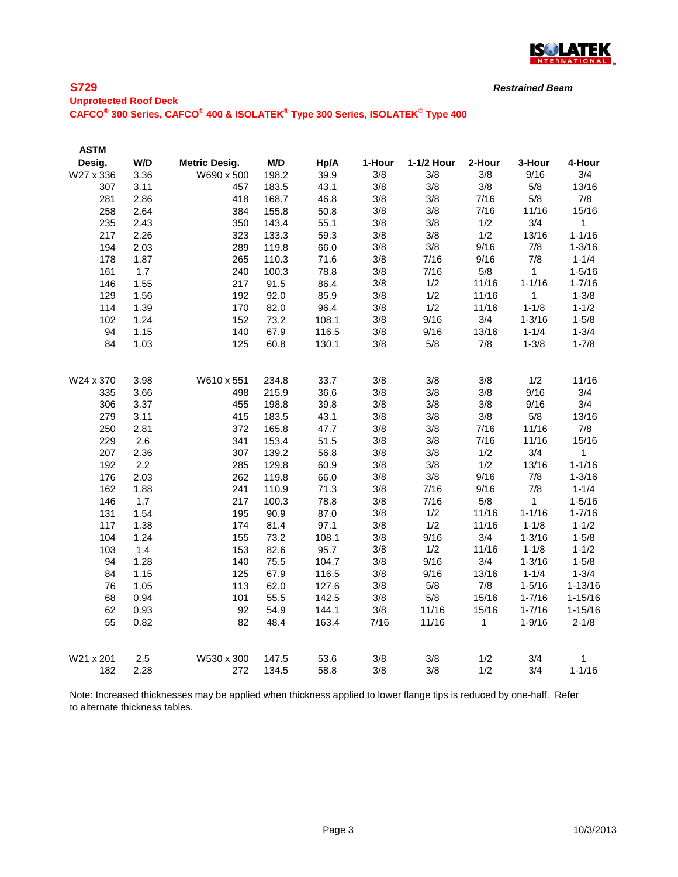

*Restrained Beam*

# **Unprotected Roof Deck CAFCO® 300 Series, CAFCO® 400 & ISOLATEK® Type 300 Series, ISOLATEK® Type 400**

| <b>ASTM</b> |      |                      |       |       |        |            |        |              |              |
|-------------|------|----------------------|-------|-------|--------|------------|--------|--------------|--------------|
| Desig.      | W/D  | <b>Metric Desig.</b> | M/D   | Hp/A  | 1-Hour | 1-1/2 Hour | 2-Hour | 3-Hour       | 4-Hour       |
| W27 x 336   | 3.36 | W690 x 500           | 198.2 | 39.9  | 3/8    | 3/8        | 3/8    | 9/16         | 3/4          |
| 307         | 3.11 | 457                  | 183.5 | 43.1  | 3/8    | 3/8        | 3/8    | 5/8          | 13/16        |
| 281         | 2.86 | 418                  | 168.7 | 46.8  | 3/8    | 3/8        | 7/16   | 5/8          | 7/8          |
| 258         | 2.64 | 384                  | 155.8 | 50.8  | 3/8    | 3/8        | 7/16   | 11/16        | 15/16        |
| 235         | 2.43 | 350                  | 143.4 | 55.1  | 3/8    | 3/8        | 1/2    | 3/4          | $\mathbf{1}$ |
| 217         | 2.26 | 323                  | 133.3 | 59.3  | 3/8    | 3/8        | 1/2    | 13/16        | $1 - 1/16$   |
| 194         | 2.03 | 289                  | 119.8 | 66.0  | 3/8    | 3/8        | 9/16   | 7/8          | $1 - 3/16$   |
| 178         | 1.87 | 265                  | 110.3 | 71.6  | 3/8    | 7/16       | 9/16   | 7/8          | $1 - 1/4$    |
| 161         | 1.7  | 240                  | 100.3 | 78.8  | 3/8    | 7/16       | 5/8    | $\mathbf{1}$ | $1 - 5/16$   |
| 146         | 1.55 | 217                  | 91.5  | 86.4  | 3/8    | 1/2        | 11/16  | $1 - 1/16$   | $1 - 7/16$   |
| 129         | 1.56 | 192                  | 92.0  | 85.9  | 3/8    | 1/2        | 11/16  | 1            | $1 - 3/8$    |
| 114         | 1.39 | 170                  | 82.0  | 96.4  | 3/8    | 1/2        | 11/16  | $1 - 1/8$    | $1 - 1/2$    |
| 102         | 1.24 | 152                  | 73.2  | 108.1 | 3/8    | 9/16       | 3/4    | $1 - 3/16$   | $1 - 5/8$    |
| 94          | 1.15 | 140                  | 67.9  | 116.5 | 3/8    | 9/16       | 13/16  | $1 - 1/4$    | $1 - 3/4$    |
| 84          | 1.03 | 125                  | 60.8  | 130.1 | 3/8    | 5/8        | 7/8    | $1 - 3/8$    | $1 - 7/8$    |
| W24 x 370   | 3.98 | W610 x 551           | 234.8 | 33.7  | 3/8    | 3/8        | 3/8    | 1/2          | 11/16        |
| 335         | 3.66 | 498                  | 215.9 | 36.6  | 3/8    | 3/8        | 3/8    | 9/16         | 3/4          |
| 306         | 3.37 | 455                  | 198.8 | 39.8  | 3/8    | 3/8        | 3/8    | 9/16         | 3/4          |
| 279         | 3.11 | 415                  | 183.5 | 43.1  | 3/8    | 3/8        | 3/8    | 5/8          | 13/16        |
| 250         | 2.81 | 372                  | 165.8 | 47.7  | 3/8    | 3/8        | 7/16   | 11/16        | 7/8          |
| 229         | 2.6  | 341                  | 153.4 | 51.5  | 3/8    | 3/8        | 7/16   | 11/16        | 15/16        |
| 207         | 2.36 | 307                  | 139.2 | 56.8  | 3/8    | 3/8        | 1/2    | 3/4          | 1            |
| 192         | 2.2  | 285                  | 129.8 | 60.9  | 3/8    | 3/8        | 1/2    | 13/16        | $1 - 1/16$   |
| 176         | 2.03 | 262                  | 119.8 | 66.0  | 3/8    | 3/8        | 9/16   | 7/8          | $1 - 3/16$   |
| 162         | 1.88 | 241                  | 110.9 | 71.3  | 3/8    | 7/16       | 9/16   | 7/8          | $1 - 1/4$    |
| 146         | 1.7  | 217                  | 100.3 | 78.8  | 3/8    | 7/16       | 5/8    | 1            | $1 - 5/16$   |
| 131         | 1.54 | 195                  | 90.9  | 87.0  | 3/8    | 1/2        | 11/16  | $1 - 1/16$   | $1 - 7/16$   |
| 117         | 1.38 | 174                  | 81.4  | 97.1  | 3/8    | 1/2        | 11/16  | $1 - 1/8$    | $1 - 1/2$    |
| 104         | 1.24 | 155                  | 73.2  | 108.1 | 3/8    | 9/16       | 3/4    | $1 - 3/16$   | $1 - 5/8$    |
| 103         | 1.4  | 153                  | 82.6  | 95.7  | 3/8    | 1/2        | 11/16  | $1 - 1/8$    | $1 - 1/2$    |
| 94          | 1.28 | 140                  | 75.5  | 104.7 | 3/8    | 9/16       | 3/4    | $1 - 3/16$   | $1 - 5/8$    |
| 84          | 1.15 | 125                  | 67.9  | 116.5 | 3/8    | 9/16       | 13/16  | $1 - 1/4$    | $1 - 3/4$    |
| 76          | 1.05 | 113                  | 62.0  | 127.6 | 3/8    | 5/8        | 7/8    | $1 - 5/16$   | $1 - 13/16$  |
| 68          | 0.94 | 101                  | 55.5  | 142.5 | 3/8    | 5/8        | 15/16  | $1 - 7/16$   | $1 - 15/16$  |
| 62          | 0.93 | 92                   | 54.9  | 144.1 | 3/8    | 11/16      | 15/16  | $1 - 7/16$   | $1 - 15/16$  |
| 55          | 0.82 | 82                   | 48.4  | 163.4 | 7/16   | 11/16      | 1      | $1 - 9/16$   | $2 - 1/8$    |
| W21 x 201   | 2.5  | W530 x 300           | 147.5 | 53.6  | 3/8    | 3/8        | 1/2    | 3/4          | 1            |
| 182         | 2.28 | 272                  | 134.5 | 58.8  | 3/8    | 3/8        | 1/2    | 3/4          | $1 - 1/16$   |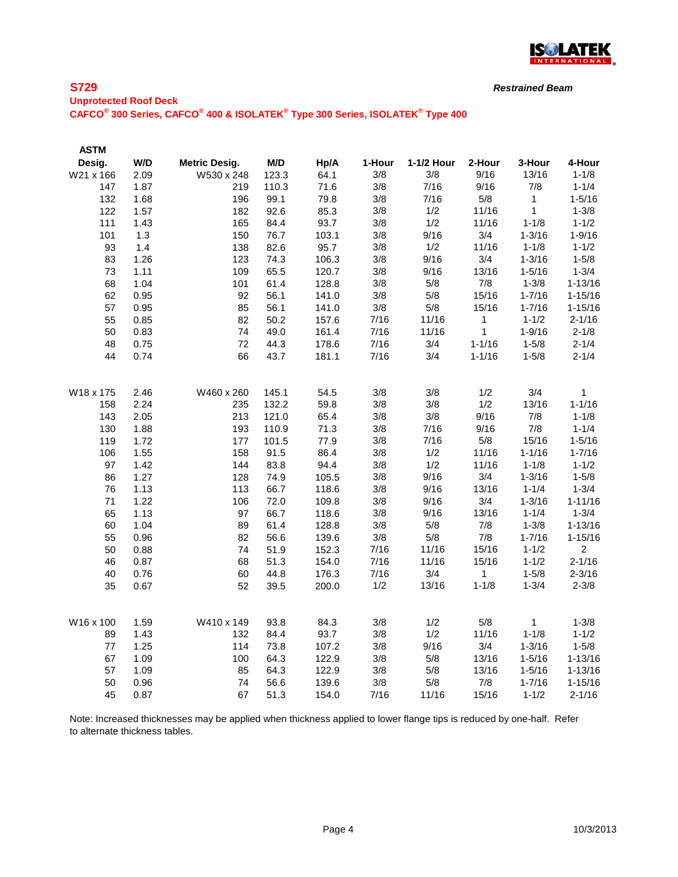

*Restrained Beam*

# **Unprotected Roof Deck CAFCO® 300 Series, CAFCO® 400 & ISOLATEK® Type 300 Series, ISOLATEK® Type 400**

| <b>ASTM</b> |      |                      |       |       |        |            |              |             |                |
|-------------|------|----------------------|-------|-------|--------|------------|--------------|-------------|----------------|
| Desig.      | W/D  | <b>Metric Desig.</b> | M/D   | Hp/A  | 1-Hour | 1-1/2 Hour | 2-Hour       | 3-Hour      | 4-Hour         |
| W21 x 166   | 2.09 | W530 x 248           | 123.3 | 64.1  | 3/8    | 3/8        | 9/16         | 13/16       | $1 - 1/8$      |
| 147         | 1.87 | 219                  | 110.3 | 71.6  | 3/8    | 7/16       | 9/16         | 7/8         | $1 - 1/4$      |
| 132         | 1.68 | 196                  | 99.1  | 79.8  | 3/8    | 7/16       | 5/8          | $\mathbf 1$ | $1 - 5/16$     |
| 122         | 1.57 | 182                  | 92.6  | 85.3  | 3/8    | 1/2        | 11/16        | 1           | $1 - 3/8$      |
| 111         | 1.43 | 165                  | 84.4  | 93.7  | 3/8    | 1/2        | 11/16        | $1 - 1/8$   | $1 - 1/2$      |
| 101         | 1.3  | 150                  | 76.7  | 103.1 | 3/8    | 9/16       | 3/4          | $1 - 3/16$  | $1 - 9/16$     |
| 93          | 1.4  | 138                  | 82.6  | 95.7  | 3/8    | 1/2        | 11/16        | $1 - 1/8$   | $1 - 1/2$      |
| 83          | 1.26 | 123                  | 74.3  | 106.3 | 3/8    | 9/16       | 3/4          | $1 - 3/16$  | $1 - 5/8$      |
| 73          | 1.11 | 109                  | 65.5  | 120.7 | 3/8    | 9/16       | 13/16        | $1 - 5/16$  | $1 - 3/4$      |
| 68          | 1.04 | 101                  | 61.4  | 128.8 | 3/8    | 5/8        | 7/8          | $1 - 3/8$   | $1 - 13/16$    |
| 62          | 0.95 | 92                   | 56.1  | 141.0 | 3/8    | 5/8        | 15/16        | $1 - 7/16$  | $1 - 15/16$    |
| 57          | 0.95 | 85                   | 56.1  | 141.0 | 3/8    | 5/8        | 15/16        | $1 - 7/16$  | $1 - 15/16$    |
| 55          | 0.85 | 82                   | 50.2  | 157.6 | 7/16   | 11/16      | 1            | $1 - 1/2$   | $2 - 1/16$     |
| 50          | 0.83 | 74                   | 49.0  | 161.4 | 7/16   | 11/16      | 1            | $1 - 9/16$  | $2 - 1/8$      |
| 48          | 0.75 | 72                   | 44.3  | 178.6 | 7/16   | 3/4        | $1 - 1/16$   | $1 - 5/8$   | $2 - 1/4$      |
| 44          | 0.74 | 66                   | 43.7  | 181.1 | 7/16   | 3/4        | $1 - 1/16$   | $1 - 5/8$   | $2 - 1/4$      |
| W18 x 175   | 2.46 | W460 x 260           | 145.1 | 54.5  | 3/8    | 3/8        | 1/2          | 3/4         | 1              |
| 158         | 2.24 | 235                  | 132.2 | 59.8  | 3/8    | 3/8        | 1/2          | 13/16       | $1 - 1/16$     |
| 143         | 2.05 | 213                  | 121.0 | 65.4  | 3/8    | 3/8        | 9/16         | 7/8         | $1 - 1/8$      |
| 130         | 1.88 | 193                  | 110.9 | 71.3  | 3/8    | 7/16       | 9/16         | 7/8         | $1 - 1/4$      |
| 119         | 1.72 | 177                  | 101.5 | 77.9  | 3/8    | 7/16       | $5/8$        | 15/16       | $1 - 5/16$     |
| 106         | 1.55 | 158                  | 91.5  | 86.4  | 3/8    | 1/2        | 11/16        | $1 - 1/16$  | $1 - 7/16$     |
| 97          | 1.42 | 144                  | 83.8  | 94.4  | 3/8    | 1/2        | 11/16        | $1 - 1/8$   | $1 - 1/2$      |
| 86          | 1.27 | 128                  | 74.9  | 105.5 | 3/8    | 9/16       | 3/4          | $1 - 3/16$  | $1 - 5/8$      |
| 76          | 1.13 | 113                  | 66.7  | 118.6 | 3/8    | 9/16       | 13/16        | $1 - 1/4$   | $1 - 3/4$      |
| 71          | 1.22 | 106                  | 72.0  | 109.8 | 3/8    | 9/16       | 3/4          | $1 - 3/16$  | $1 - 11/16$    |
| 65          | 1.13 | 97                   | 66.7  | 118.6 | 3/8    | 9/16       | 13/16        | $1 - 1/4$   | $1 - 3/4$      |
| 60          | 1.04 | 89                   | 61.4  | 128.8 | 3/8    | 5/8        | 7/8          | $1 - 3/8$   | $1 - 13/16$    |
| 55          | 0.96 | 82                   | 56.6  | 139.6 | 3/8    | 5/8        | 7/8          | $1 - 7/16$  | $1 - 15/16$    |
| 50          | 0.88 | 74                   | 51.9  | 152.3 | 7/16   | 11/16      | 15/16        | $1 - 1/2$   | $\overline{2}$ |
| 46          | 0.87 | 68                   | 51.3  | 154.0 | 7/16   | 11/16      | 15/16        | $1 - 1/2$   | $2 - 1/16$     |
| 40          | 0.76 | 60                   | 44.8  | 176.3 | 7/16   | 3/4        | $\mathbf{1}$ | $1 - 5/8$   | $2 - 3/16$     |
| 35          | 0.67 | 52                   | 39.5  | 200.0 | 1/2    | 13/16      | $1 - 1/8$    | $1 - 3/4$   | $2 - 3/8$      |
|             |      |                      |       |       |        |            |              |             |                |
| W16 x 100   | 1.59 | W410 x 149           | 93.8  | 84.3  | 3/8    | 1/2        | 5/8          | $\mathbf 1$ | $1 - 3/8$      |
| 89          | 1.43 | 132                  | 84.4  | 93.7  | 3/8    | 1/2        | 11/16        | $1 - 1/8$   | $1 - 1/2$      |
| $77$        | 1.25 | 114                  | 73.8  | 107.2 | 3/8    | 9/16       | 3/4          | $1 - 3/16$  | $1 - 5/8$      |
| 67          | 1.09 | 100                  | 64.3  | 122.9 | 3/8    | 5/8        | 13/16        | $1 - 5/16$  | $1 - 13/16$    |
| 57          | 1.09 | 85                   | 64.3  | 122.9 | 3/8    | 5/8        | 13/16        | $1 - 5/16$  | $1 - 13/16$    |
| 50          | 0.96 | 74                   | 56.6  | 139.6 | 3/8    | 5/8        | 7/8          | $1 - 7/16$  | $1 - 15/16$    |
| 45          | 0.87 | 67                   | 51.3  | 154.0 | 7/16   | 11/16      | 15/16        | $1 - 1/2$   | $2 - 1/16$     |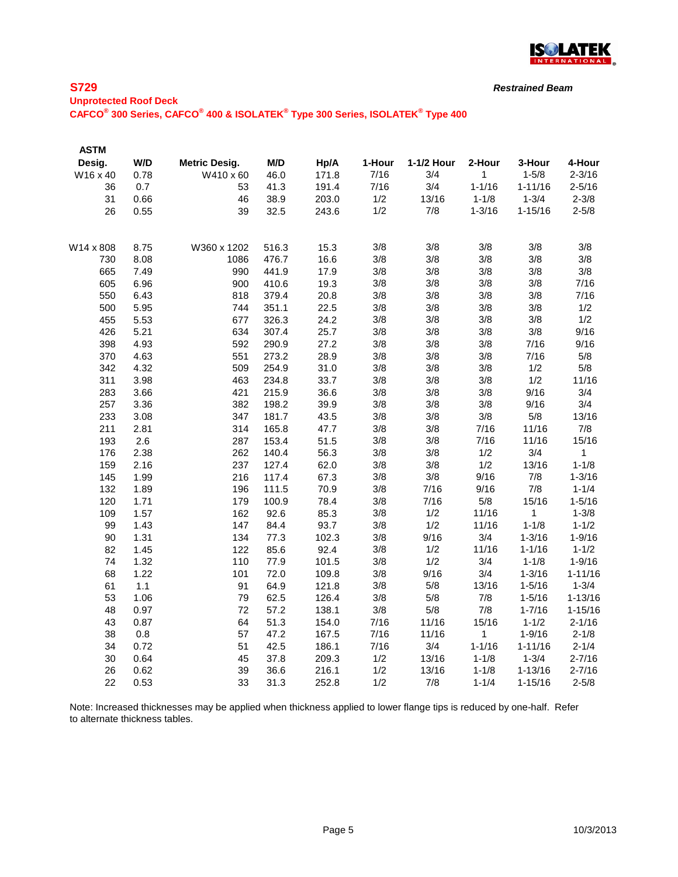

*Restrained Beam*

**Unprotected Roof Deck CAFCO® 300 Series, CAFCO® 400 & ISOLATEK® Type 300 Series, ISOLATEK® Type 400**

| <b>ASTM</b> |      |                      |       |       |        |            |              |             |             |
|-------------|------|----------------------|-------|-------|--------|------------|--------------|-------------|-------------|
| Desig.      | W/D  | <b>Metric Desig.</b> | M/D   | Hp/A  | 1-Hour | 1-1/2 Hour | 2-Hour       | 3-Hour      | 4-Hour      |
| W16 x 40    | 0.78 | W410 x 60            | 46.0  | 171.8 | 7/16   | 3/4        | 1            | $1 - 5/8$   | $2 - 3/16$  |
| 36          | 0.7  | 53                   | 41.3  | 191.4 | 7/16   | 3/4        | $1 - 1/16$   | $1 - 11/16$ | $2 - 5/16$  |
| 31          | 0.66 | 46                   | 38.9  | 203.0 | 1/2    | 13/16      | $1 - 1/8$    | $1 - 3/4$   | $2 - 3/8$   |
| 26          | 0.55 | 39                   | 32.5  | 243.6 | 1/2    | 7/8        | $1 - 3/16$   | $1 - 15/16$ | $2 - 5/8$   |
| W14 x 808   | 8.75 | W360 x 1202          | 516.3 | 15.3  | 3/8    | 3/8        | 3/8          | 3/8         | 3/8         |
| 730         | 8.08 | 1086                 | 476.7 | 16.6  | 3/8    | 3/8        | 3/8          | 3/8         | 3/8         |
| 665         | 7.49 | 990                  | 441.9 | 17.9  | 3/8    | 3/8        | 3/8          | 3/8         | 3/8         |
| 605         | 6.96 | 900                  | 410.6 | 19.3  | 3/8    | 3/8        | 3/8          | 3/8         | 7/16        |
| 550         | 6.43 | 818                  | 379.4 | 20.8  | 3/8    | 3/8        | 3/8          | 3/8         | 7/16        |
| 500         | 5.95 | 744                  | 351.1 | 22.5  | 3/8    | 3/8        | 3/8          | 3/8         | 1/2         |
| 455         | 5.53 | 677                  | 326.3 | 24.2  | 3/8    | 3/8        | 3/8          | 3/8         | 1/2         |
| 426         | 5.21 | 634                  | 307.4 | 25.7  | 3/8    | 3/8        | 3/8          | 3/8         | 9/16        |
| 398         | 4.93 | 592                  | 290.9 | 27.2  | 3/8    | 3/8        | 3/8          | 7/16        | 9/16        |
| 370         | 4.63 | 551                  | 273.2 | 28.9  | 3/8    | 3/8        | 3/8          | 7/16        | 5/8         |
| 342         | 4.32 | 509                  | 254.9 | 31.0  | 3/8    | 3/8        | 3/8          | 1/2         | 5/8         |
| 311         | 3.98 | 463                  | 234.8 | 33.7  | 3/8    | 3/8        | 3/8          | 1/2         | 11/16       |
| 283         | 3.66 | 421                  | 215.9 | 36.6  | 3/8    | 3/8        | 3/8          | 9/16        | 3/4         |
| 257         | 3.36 | 382                  | 198.2 | 39.9  | 3/8    | 3/8        | 3/8          | 9/16        | 3/4         |
| 233         | 3.08 | 347                  | 181.7 | 43.5  | 3/8    | 3/8        | 3/8          | 5/8         | 13/16       |
| 211         | 2.81 | 314                  | 165.8 | 47.7  | 3/8    | 3/8        | 7/16         | 11/16       | 7/8         |
| 193         | 2.6  | 287                  | 153.4 | 51.5  | 3/8    | 3/8        | 7/16         | 11/16       | 15/16       |
| 176         | 2.38 | 262                  | 140.4 | 56.3  | 3/8    | 3/8        | 1/2          | 3/4         | $\mathbf 1$ |
| 159         | 2.16 | 237                  | 127.4 | 62.0  | 3/8    | 3/8        | 1/2          | 13/16       | $1 - 1/8$   |
| 145         | 1.99 | 216                  | 117.4 | 67.3  | 3/8    | 3/8        | 9/16         | 7/8         | $1 - 3/16$  |
| 132         | 1.89 | 196                  | 111.5 | 70.9  | 3/8    | 7/16       | 9/16         | 7/8         | $1 - 1/4$   |
| 120         | 1.71 | 179                  | 100.9 | 78.4  | 3/8    | 7/16       | 5/8          | 15/16       | $1 - 5/16$  |
| 109         | 1.57 | 162                  | 92.6  | 85.3  | 3/8    | 1/2        | 11/16        | 1           | $1 - 3/8$   |
| 99          | 1.43 | 147                  | 84.4  | 93.7  | 3/8    | 1/2        | 11/16        | $1 - 1/8$   | $1 - 1/2$   |
| 90          | 1.31 | 134                  | 77.3  | 102.3 | 3/8    | 9/16       | 3/4          | $1 - 3/16$  | $1 - 9/16$  |
| 82          | 1.45 | 122                  | 85.6  | 92.4  | 3/8    | 1/2        | 11/16        | $1 - 1/16$  | $1 - 1/2$   |
| 74          | 1.32 | 110                  | 77.9  | 101.5 | 3/8    | 1/2        | 3/4          | $1 - 1/8$   | $1 - 9/16$  |
| 68          | 1.22 | 101                  | 72.0  | 109.8 | 3/8    | 9/16       | 3/4          | $1 - 3/16$  | $1 - 11/16$ |
| 61          | 1.1  | 91                   | 64.9  | 121.8 | 3/8    | 5/8        | 13/16        | $1 - 5/16$  | $1 - 3/4$   |
| 53          | 1.06 | 79                   | 62.5  | 126.4 | 3/8    | 5/8        | 7/8          | $1 - 5/16$  | $1 - 13/16$ |
| 48          | 0.97 | 72                   | 57.2  | 138.1 | 3/8    | 5/8        | 7/8          | $1 - 7/16$  | $1 - 15/16$ |
| 43          | 0.87 | 64                   | 51.3  | 154.0 | 7/16   | 11/16      | 15/16        | $1 - 1/2$   | $2 - 1/16$  |
| 38          | 0.8  | 57                   | 47.2  | 167.5 | 7/16   | 11/16      | $\mathbf{1}$ | $1 - 9/16$  | $2 - 1/8$   |
| 34          | 0.72 | 51                   | 42.5  | 186.1 | 7/16   | 3/4        | $1 - 1/16$   | $1 - 11/16$ | $2 - 1/4$   |
| 30          | 0.64 | 45                   | 37.8  | 209.3 | 1/2    | 13/16      | $1 - 1/8$    | $1 - 3/4$   | $2 - 7/16$  |
| 26          | 0.62 | 39                   | 36.6  | 216.1 | 1/2    | 13/16      | $1 - 1/8$    | $1 - 13/16$ | $2 - 7/16$  |
| 22          | 0.53 | 33                   | 31.3  | 252.8 | 1/2    | 7/8        | $1 - 1/4$    | $1 - 15/16$ | $2 - 5/8$   |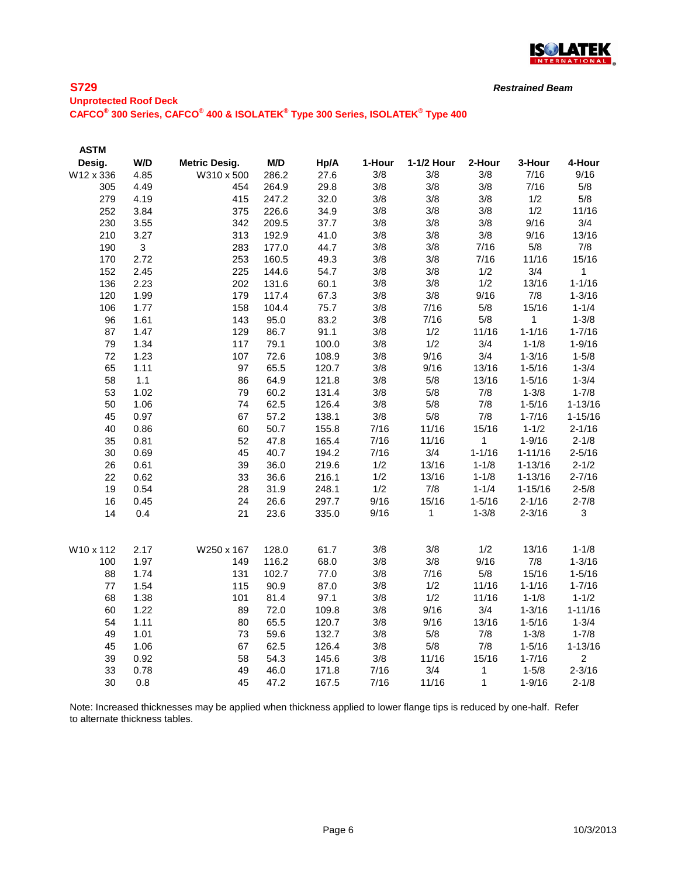

*Restrained Beam*

### **Unprotected Roof Deck CAFCO® 300 Series, CAFCO® 400 & ISOLATEK® Type 300 Series, ISOLATEK® Type 400**

| <b>ASTM</b> |                |                      |       |       |        |            |            |             |                |
|-------------|----------------|----------------------|-------|-------|--------|------------|------------|-------------|----------------|
| Desig.      | W/D            | <b>Metric Desig.</b> | M/D   | Hp/A  | 1-Hour | 1-1/2 Hour | 2-Hour     | 3-Hour      | 4-Hour         |
| W12 x 336   | 4.85           | W310 x 500           | 286.2 | 27.6  | 3/8    | 3/8        | 3/8        | 7/16        | 9/16           |
| 305         | 4.49           | 454                  | 264.9 | 29.8  | 3/8    | 3/8        | 3/8        | 7/16        | 5/8            |
| 279         | 4.19           | 415                  | 247.2 | 32.0  | 3/8    | 3/8        | 3/8        | 1/2         | 5/8            |
| 252         | 3.84           | 375                  | 226.6 | 34.9  | 3/8    | 3/8        | 3/8        | 1/2         | 11/16          |
| 230         | 3.55           | 342                  | 209.5 | 37.7  | 3/8    | 3/8        | 3/8        | 9/16        | 3/4            |
| 210         | 3.27           | 313                  | 192.9 | 41.0  | 3/8    | 3/8        | 3/8        | 9/16        | 13/16          |
| 190         | $\mathfrak{S}$ | 283                  | 177.0 | 44.7  | 3/8    | 3/8        | 7/16       | 5/8         | 7/8            |
| 170         | 2.72           | 253                  | 160.5 | 49.3  | 3/8    | 3/8        | 7/16       | 11/16       | 15/16          |
| 152         | 2.45           | 225                  | 144.6 | 54.7  | 3/8    | 3/8        | 1/2        | 3/4         | $\mathbf{1}$   |
| 136         | 2.23           | 202                  | 131.6 | 60.1  | 3/8    | 3/8        | 1/2        | 13/16       | $1 - 1/16$     |
| 120         | 1.99           | 179                  | 117.4 | 67.3  | 3/8    | 3/8        | 9/16       | 7/8         | $1 - 3/16$     |
| 106         | 1.77           | 158                  | 104.4 | 75.7  | 3/8    | 7/16       | 5/8        | 15/16       | $1 - 1/4$      |
| 96          | 1.61           | 143                  | 95.0  | 83.2  | 3/8    | 7/16       | 5/8        | 1           | $1 - 3/8$      |
| 87          | 1.47           | 129                  | 86.7  | 91.1  | 3/8    | 1/2        | 11/16      | $1 - 1/16$  | $1 - 7/16$     |
| 79          | 1.34           | 117                  | 79.1  | 100.0 | 3/8    | 1/2        | 3/4        | $1 - 1/8$   | $1 - 9/16$     |
| 72          | 1.23           | 107                  | 72.6  | 108.9 | 3/8    | 9/16       | 3/4        | $1 - 3/16$  | $1 - 5/8$      |
| 65          | 1.11           | 97                   | 65.5  | 120.7 | 3/8    | 9/16       | 13/16      | $1 - 5/16$  | $1 - 3/4$      |
| 58          | 1.1            | 86                   | 64.9  | 121.8 | 3/8    | 5/8        | 13/16      | $1 - 5/16$  | $1 - 3/4$      |
| 53          | 1.02           | 79                   | 60.2  | 131.4 | 3/8    | 5/8        | 7/8        | $1 - 3/8$   | $1 - 7/8$      |
| 50          | 1.06           | 74                   | 62.5  | 126.4 | 3/8    | 5/8        | 7/8        | $1 - 5/16$  | $1 - 13/16$    |
| 45          | 0.97           | 67                   | 57.2  | 138.1 | 3/8    | $5/8$      | 7/8        | $1 - 7/16$  | $1 - 15/16$    |
| 40          | 0.86           | 60                   | 50.7  | 155.8 | 7/16   | 11/16      | 15/16      | $1 - 1/2$   | $2 - 1/16$     |
| 35          | 0.81           | 52                   | 47.8  | 165.4 | 7/16   | 11/16      | 1          | $1 - 9/16$  | $2 - 1/8$      |
| 30          | 0.69           | 45                   | 40.7  | 194.2 | 7/16   | 3/4        | $1 - 1/16$ | $1 - 11/16$ | $2 - 5/16$     |
| 26          | 0.61           | 39                   | 36.0  | 219.6 | 1/2    | 13/16      | $1 - 1/8$  | $1 - 13/16$ | $2 - 1/2$      |
| 22          | 0.62           | 33                   | 36.6  | 216.1 | 1/2    | 13/16      | $1 - 1/8$  | $1 - 13/16$ | $2 - 7/16$     |
| 19          | 0.54           | 28                   | 31.9  | 248.1 | 1/2    | 7/8        | $1 - 1/4$  | $1 - 15/16$ | $2 - 5/8$      |
| 16          | 0.45           | 24                   | 26.6  | 297.7 | 9/16   | 15/16      | $1 - 5/16$ | $2 - 1/16$  | $2 - 7/8$      |
| 14          | 0.4            | 21                   | 23.6  | 335.0 | 9/16   | 1          | $1 - 3/8$  | $2 - 3/16$  | $\sqrt{3}$     |
| W10 x 112   | 2.17           | W250 x 167           | 128.0 | 61.7  | 3/8    | 3/8        | 1/2        | 13/16       | $1 - 1/8$      |
| 100         | 1.97           | 149                  | 116.2 | 68.0  | 3/8    | 3/8        | 9/16       | 7/8         | $1 - 3/16$     |
| 88          | 1.74           | 131                  | 102.7 | 77.0  | 3/8    | 7/16       | 5/8        | 15/16       | $1 - 5/16$     |
| 77          | 1.54           | 115                  | 90.9  | 87.0  | 3/8    | 1/2        | 11/16      | $1 - 1/16$  | $1 - 7/16$     |
| 68          | 1.38           | 101                  | 81.4  | 97.1  | 3/8    | 1/2        | 11/16      | $1 - 1/8$   | $1 - 1/2$      |
| 60          | 1.22           | 89                   | 72.0  | 109.8 | 3/8    | 9/16       | 3/4        | $1 - 3/16$  | $1 - 11/16$    |
| 54          | 1.11           | 80                   | 65.5  | 120.7 | 3/8    | 9/16       | 13/16      | $1 - 5/16$  | $1 - 3/4$      |
| 49          | 1.01           | 73                   | 59.6  | 132.7 | 3/8    | 5/8        | 7/8        | $1 - 3/8$   | $1 - 7/8$      |
| 45          | 1.06           | 67                   | 62.5  | 126.4 | 3/8    | 5/8        | 7/8        | $1 - 5/16$  | $1 - 13/16$    |
| 39          | 0.92           | 58                   | 54.3  | 145.6 | 3/8    | 11/16      | 15/16      | $1 - 7/16$  | $\overline{2}$ |
| 33          | 0.78           | 49                   | 46.0  | 171.8 | 7/16   | 3/4        | 1          | $1 - 5/8$   | $2 - 3/16$     |
| 30          | 0.8            | 45                   | 47.2  | 167.5 | 7/16   | 11/16      | 1          | $1 - 9/16$  | $2 - 1/8$      |